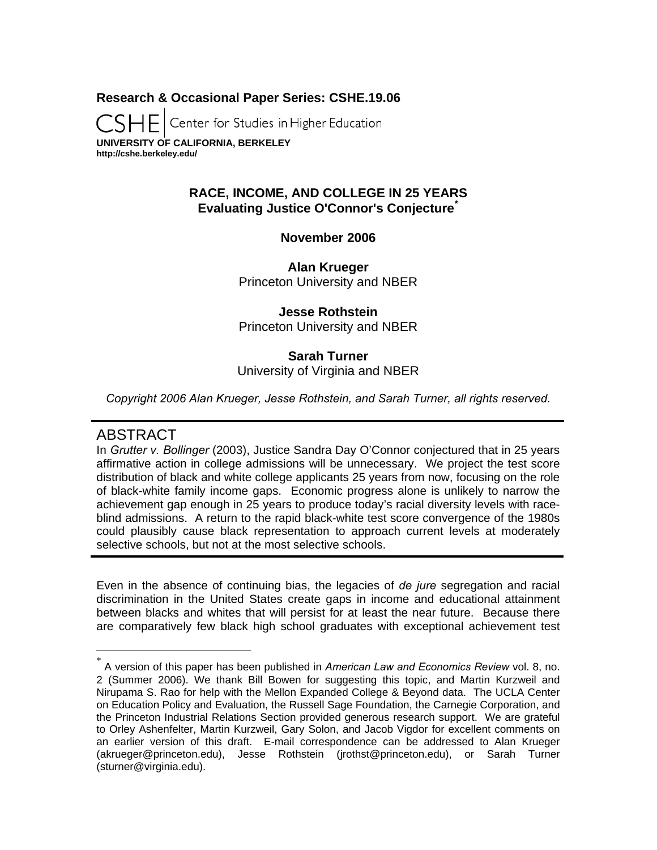**Research & Occasional Paper Series: CSHE.19.06** 

Center for Studies in Higher Education **UNIVERSITY OF CALIFORNIA, BERKELEY** 

# **http://cshe.berkeley.edu/**

# **RACE, INCOME, AND COLLEGE IN 25 YEARS Evaluating Justice O'Connor's Conjecture\***

# **November 2006**

**Alan Krueger**  Princeton University and NBER

**Jesse Rothstein**  Princeton University and NBER

# **Sarah Turner**

University of Virginia and NBER

*Copyright 2006 Alan Krueger, Jesse Rothstein, and Sarah Turner, all rights reserved.* 

# ABSTRACT

 $\overline{a}$ 

In *Grutter v. Bollinger* (2003), Justice Sandra Day O'Connor conjectured that in 25 years affirmative action in college admissions will be unnecessary. We project the test score distribution of black and white college applicants 25 years from now, focusing on the role of black-white family income gaps. Economic progress alone is unlikely to narrow the achievement gap enough in 25 years to produce today's racial diversity levels with raceblind admissions. A return to the rapid black-white test score convergence of the 1980s could plausibly cause black representation to approach current levels at moderately selective schools, but not at the most selective schools.

Even in the absence of continuing bias, the legacies of *de jure* segregation and racial discrimination in the United States create gaps in income and educational attainment between blacks and whites that will persist for at least the near future. Because there are comparatively few black high school graduates with exceptional achievement test

A version of this paper has been published in *American Law and Economics Review* vol. 8, no. 2 (Summer 2006). We thank Bill Bowen for suggesting this topic, and Martin Kurzweil and Nirupama S. Rao for help with the Mellon Expanded College & Beyond data. The UCLA Center on Education Policy and Evaluation, the Russell Sage Foundation, the Carnegie Corporation, and the Princeton Industrial Relations Section provided generous research support. We are grateful to Orley Ashenfelter, Martin Kurzweil, Gary Solon, and Jacob Vigdor for excellent comments on an earlier version of this draft. E-mail correspondence can be addressed to Alan Krueger (akrueger@princeton.edu), Jesse Rothstein (jrothst@princeton.edu), or Sarah Turner (sturner@virginia.edu).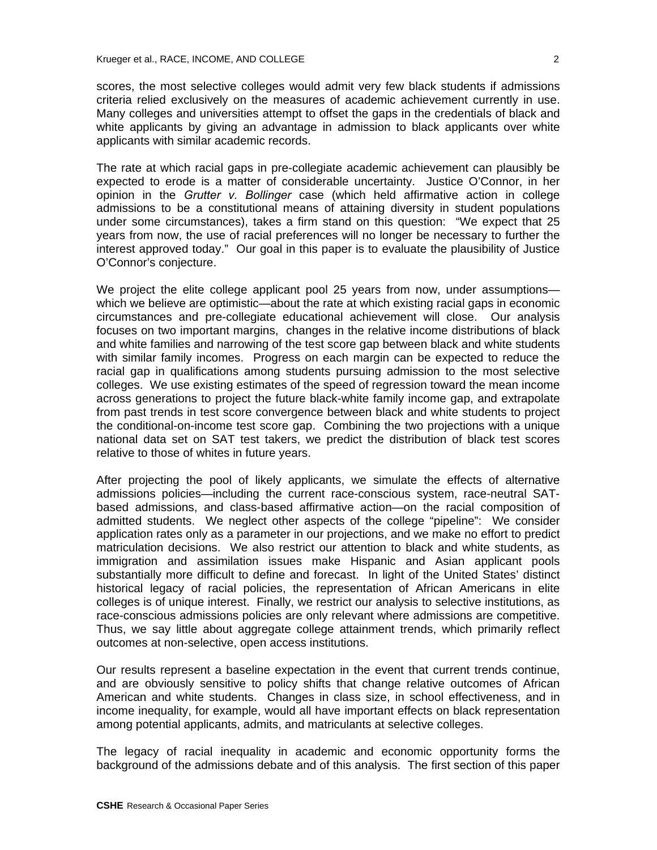scores, the most selective colleges would admit very few black students if admissions criteria relied exclusively on the measures of academic achievement currently in use. Many colleges and universities attempt to offset the gaps in the credentials of black and white applicants by giving an advantage in admission to black applicants over white applicants with similar academic records.

The rate at which racial gaps in pre-collegiate academic achievement can plausibly be expected to erode is a matter of considerable uncertainty. Justice O'Connor, in her opinion in the *Grutter v. Bollinger* case (which held affirmative action in college admissions to be a constitutional means of attaining diversity in student populations under some circumstances), takes a firm stand on this question: "We expect that 25 years from now, the use of racial preferences will no longer be necessary to further the interest approved today." Our goal in this paper is to evaluate the plausibility of Justice O'Connor's conjecture.

We project the elite college applicant pool 25 years from now, under assumptions which we believe are optimistic—about the rate at which existing racial gaps in economic circumstances and pre-collegiate educational achievement will close. Our analysis focuses on two important margins, changes in the relative income distributions of black and white families and narrowing of the test score gap between black and white students with similar family incomes. Progress on each margin can be expected to reduce the racial gap in qualifications among students pursuing admission to the most selective colleges. We use existing estimates of the speed of regression toward the mean income across generations to project the future black-white family income gap, and extrapolate from past trends in test score convergence between black and white students to project the conditional-on-income test score gap. Combining the two projections with a unique national data set on SAT test takers, we predict the distribution of black test scores relative to those of whites in future years.

After projecting the pool of likely applicants, we simulate the effects of alternative admissions policies—including the current race-conscious system, race-neutral SATbased admissions, and class-based affirmative action—on the racial composition of admitted students. We neglect other aspects of the college "pipeline": We consider application rates only as a parameter in our projections, and we make no effort to predict matriculation decisions. We also restrict our attention to black and white students, as immigration and assimilation issues make Hispanic and Asian applicant pools substantially more difficult to define and forecast. In light of the United States' distinct historical legacy of racial policies, the representation of African Americans in elite colleges is of unique interest. Finally, we restrict our analysis to selective institutions, as race-conscious admissions policies are only relevant where admissions are competitive. Thus, we say little about aggregate college attainment trends, which primarily reflect outcomes at non-selective, open access institutions.

Our results represent a baseline expectation in the event that current trends continue, and are obviously sensitive to policy shifts that change relative outcomes of African American and white students. Changes in class size, in school effectiveness, and in income inequality, for example, would all have important effects on black representation among potential applicants, admits, and matriculants at selective colleges.

The legacy of racial inequality in academic and economic opportunity forms the background of the admissions debate and of this analysis. The first section of this paper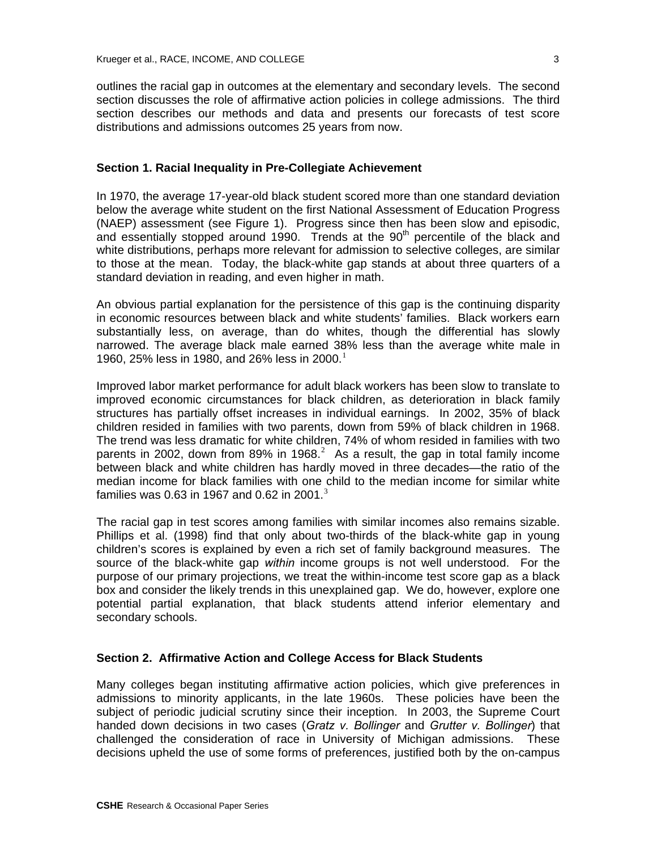outlines the racial gap in outcomes at the elementary and secondary levels. The second section discusses the role of affirmative action policies in college admissions. The third section describes our methods and data and presents our forecasts of test score distributions and admissions outcomes 25 years from now.

# **Section 1. Racial Inequality in Pre-Collegiate Achievement**

In 1970, the average 17-year-old black student scored more than one standard deviation below the average white student on the first National Assessment of Education Progress (NAEP) assessment (see Figure 1). Progress since then has been slow and episodic, and essentially stopped around 1990. Trends at the  $90<sup>th</sup>$  percentile of the black and white distributions, perhaps more relevant for admission to selective colleges, are similar to those at the mean. Today, the black-white gap stands at about three quarters of a standard deviation in reading, and even higher in math.

An obvious partial explanation for the persistence of this gap is the continuing disparity in economic resources between black and white students' families. Black workers earn substantially less, on average, than do whites, though the differential has slowly narrowed. The average black male earned 38% less than the average white male in 1960, 25% less in 1980, and 26% less in 2000.<sup>1</sup>

Improved labor market performance for adult black workers has been slow to translate to improved economic circumstances for black children, as deterioration in black family structures has partially offset increases in individual earnings. In 2002, 35% of black children resided in families with two parents, down from 59% of black children in 1968. The trend was less dramatic for white children, 74% of whom resided in families with two parents in 2002, down from 89% in 1968.<sup>2</sup> As a result, the gap in total family income between black and white children has hardly moved in three decades—the ratio of the median income for black families with one child to the median income for similar white families was 0.63 in 1967 and 0.62 in 2001. $^3$ 

The racial gap in test scores among families with similar incomes also remains sizable. Phillips et al. (1998) find that only about two-thirds of the black-white gap in young children's scores is explained by even a rich set of family background measures. The source of the black-white gap *within* income groups is not well understood. For the purpose of our primary projections, we treat the within-income test score gap as a black box and consider the likely trends in this unexplained gap. We do, however, explore one potential partial explanation, that black students attend inferior elementary and secondary schools.

# **Section 2. Affirmative Action and College Access for Black Students**

Many colleges began instituting affirmative action policies, which give preferences in admissions to minority applicants, in the late 1960s. These policies have been the subject of periodic judicial scrutiny since their inception. In 2003, the Supreme Court handed down decisions in two cases (*Gratz v. Bollinger* and *Grutter v. Bollinger*) that challenged the consideration of race in University of Michigan admissions. These decisions upheld the use of some forms of preferences, justified both by the on-campus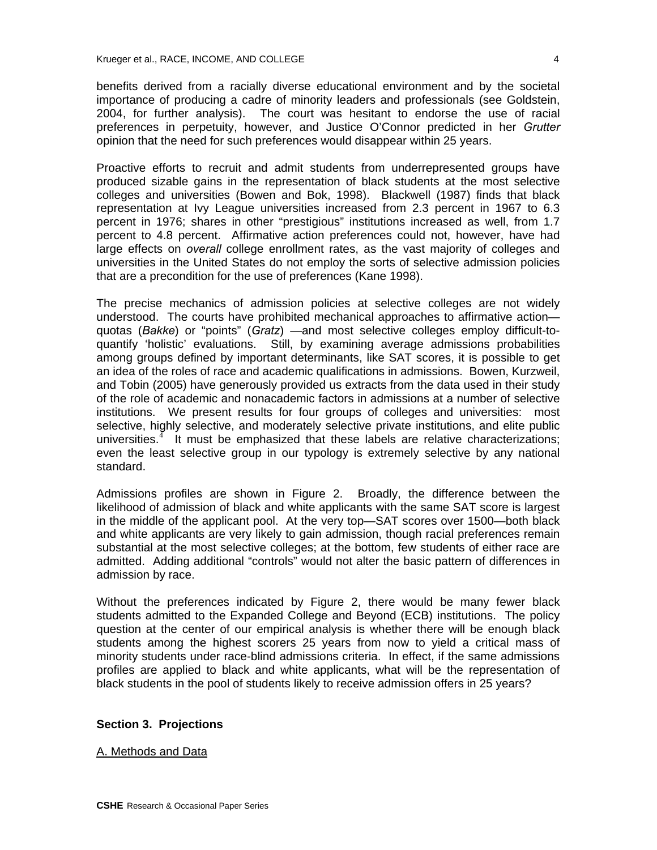benefits derived from a racially diverse educational environment and by the societal importance of producing a cadre of minority leaders and professionals (see Goldstein, 2004, for further analysis). The court was hesitant to endorse the use of racial preferences in perpetuity, however, and Justice O'Connor predicted in her *Grutter* opinion that the need for such preferences would disappear within 25 years.

Proactive efforts to recruit and admit students from underrepresented groups have produced sizable gains in the representation of black students at the most selective colleges and universities (Bowen and Bok, 1998). Blackwell (1987) finds that black representation at Ivy League universities increased from 2.3 percent in 1967 to 6.3 percent in 1976; shares in other "prestigious" institutions increased as well, from 1.7 percent to 4.8 percent. Affirmative action preferences could not, however, have had large effects on *overall* college enrollment rates, as the vast majority of colleges and universities in the United States do not employ the sorts of selective admission policies that are a precondition for the use of preferences (Kane 1998).

The precise mechanics of admission policies at selective colleges are not widely understood. The courts have prohibited mechanical approaches to affirmative action quotas (*Bakke*) or "points" (*Gratz*) —and most selective colleges employ difficult-toquantify 'holistic' evaluations. Still, by examining average admissions probabilities among groups defined by important determinants, like SAT scores, it is possible to get an idea of the roles of race and academic qualifications in admissions. Bowen, Kurzweil, and Tobin (2005) have generously provided us extracts from the data used in their study of the role of academic and nonacademic factors in admissions at a number of selective institutions. We present results for four groups of colleges and universities: most selective, highly selective, and moderately selective private institutions, and elite public universities. $1/4$  It must be emphasized that these labels are relative characterizations; even the least selective group in our typology is extremely selective by any national standard.

Admissions profiles are shown in Figure 2. Broadly, the difference between the likelihood of admission of black and white applicants with the same SAT score is largest in the middle of the applicant pool. At the very top—SAT scores over 1500—both black and white applicants are very likely to gain admission, though racial preferences remain substantial at the most selective colleges; at the bottom, few students of either race are admitted. Adding additional "controls" would not alter the basic pattern of differences in admission by race.

Without the preferences indicated by Figure 2, there would be many fewer black students admitted to the Expanded College and Beyond (ECB) institutions. The policy question at the center of our empirical analysis is whether there will be enough black students among the highest scorers 25 years from now to yield a critical mass of minority students under race-blind admissions criteria. In effect, if the same admissions profiles are applied to black and white applicants, what will be the representation of black students in the pool of students likely to receive admission offers in 25 years?

#### **Section 3. Projections**

#### A. Methods and Data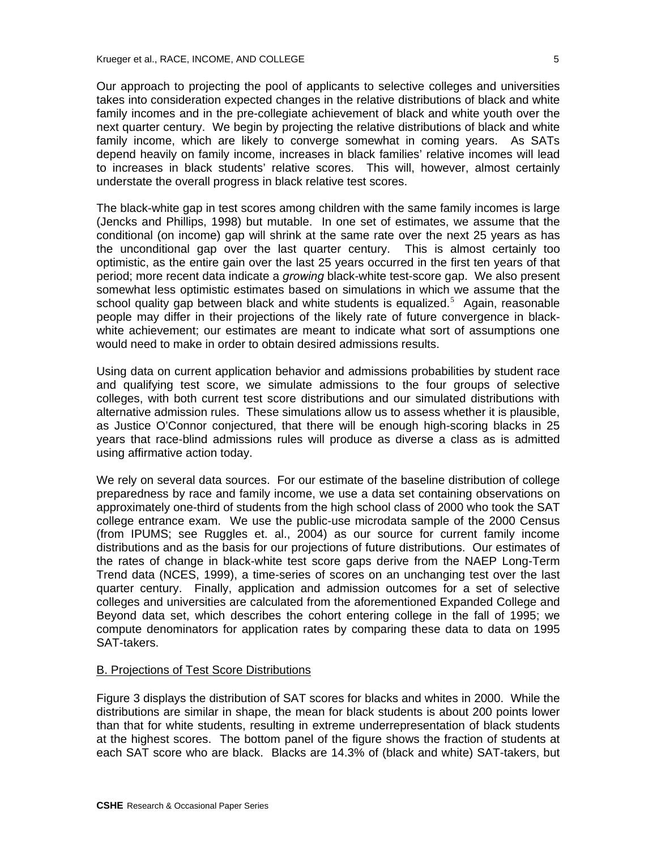Our approach to projecting the pool of applicants to selective colleges and universities takes into consideration expected changes in the relative distributions of black and white family incomes and in the pre-collegiate achievement of black and white youth over the next quarter century. We begin by projecting the relative distributions of black and white family income, which are likely to converge somewhat in coming years. As SATs depend heavily on family income, increases in black families' relative incomes will lead to increases in black students' relative scores. This will, however, almost certainly understate the overall progress in black relative test scores.

The black-white gap in test scores among children with the same family incomes is large (Jencks and Phillips, 1998) but mutable. In one set of estimates, we assume that the conditional (on income) gap will shrink at the same rate over the next 25 years as has the unconditional gap over the last quarter century. This is almost certainly too optimistic, as the entire gain over the last 25 years occurred in the first ten years of that period; more recent data indicate a *growing* black-white test-score gap. We also present somewhat less optimistic estimates based on simulations in which we assume that the school quality gap between black and white students is equalized.<sup>5</sup> Again, reasonable people may differ in their projections of the likely rate of future convergence in blackwhite achievement; our estimates are meant to indicate what sort of assumptions one would need to make in order to obtain desired admissions results.

Using data on current application behavior and admissions probabilities by student race and qualifying test score, we simulate admissions to the four groups of selective colleges, with both current test score distributions and our simulated distributions with alternative admission rules. These simulations allow us to assess whether it is plausible, as Justice O'Connor conjectured, that there will be enough high-scoring blacks in 25 years that race-blind admissions rules will produce as diverse a class as is admitted using affirmative action today.

We rely on several data sources. For our estimate of the baseline distribution of college preparedness by race and family income, we use a data set containing observations on approximately one-third of students from the high school class of 2000 who took the SAT college entrance exam. We use the public-use microdata sample of the 2000 Census (from IPUMS; see Ruggles et. al., 2004) as our source for current family income distributions and as the basis for our projections of future distributions. Our estimates of the rates of change in black-white test score gaps derive from the NAEP Long-Term Trend data (NCES, 1999), a time-series of scores on an unchanging test over the last quarter century. Finally, application and admission outcomes for a set of selective colleges and universities are calculated from the aforementioned Expanded College and Beyond data set, which describes the cohort entering college in the fall of 1995; we compute denominators for application rates by comparing these data to data on 1995 SAT-takers.

# B. Projections of Test Score Distributions

Figure 3 displays the distribution of SAT scores for blacks and whites in 2000. While the distributions are similar in shape, the mean for black students is about 200 points lower than that for white students, resulting in extreme underrepresentation of black students at the highest scores. The bottom panel of the figure shows the fraction of students at each SAT score who are black. Blacks are 14.3% of (black and white) SAT-takers, but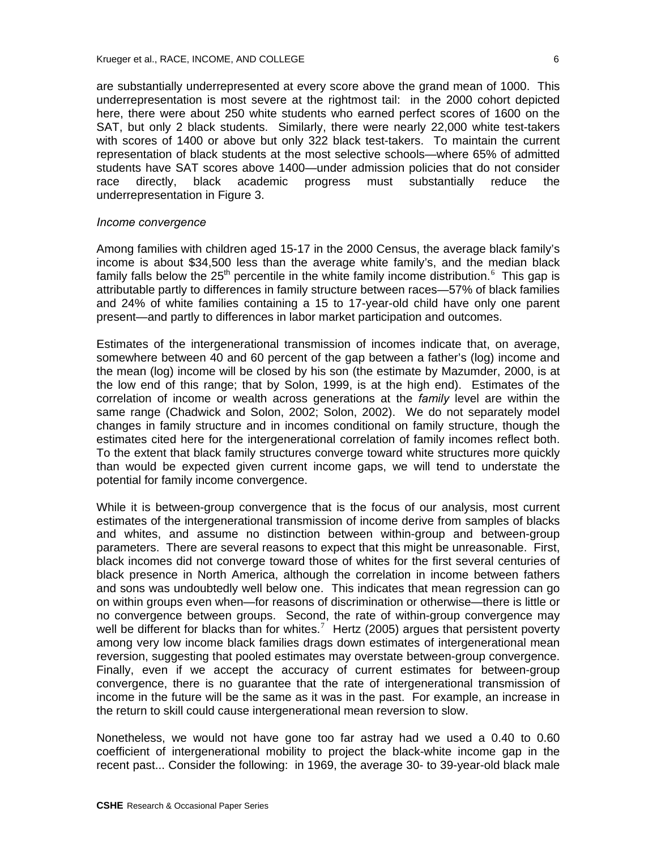are substantially underrepresented at every score above the grand mean of 1000. This underrepresentation is most severe at the rightmost tail: in the 2000 cohort depicted here, there were about 250 white students who earned perfect scores of 1600 on the SAT, but only 2 black students. Similarly, there were nearly 22,000 white test-takers with scores of 1400 or above but only 322 black test-takers. To maintain the current representation of black students at the most selective schools—where 65% of admitted students have SAT scores above 1400—under admission policies that do not consider race directly, black academic progress must substantially reduce the underrepresentation in Figure 3.

#### *Income convergence*

Among families with children aged 15-17 in the 2000 Census, the average black family's income is about \$34,500 less than the average white family's, and the median black family falls below the 25<sup>th</sup> percentile in the white family income distribution.<sup>6</sup> This gap is attributable partly to differences in family structure between races—57% of black families and 24% of white families containing a 15 to 17-year-old child have only one parent present—and partly to differences in labor market participation and outcomes.

Estimates of the intergenerational transmission of incomes indicate that, on average, somewhere between 40 and 60 percent of the gap between a father's (log) income and the mean (log) income will be closed by his son (the estimate by Mazumder, 2000, is at the low end of this range; that by Solon, 1999, is at the high end). Estimates of the correlation of income or wealth across generations at the *family* level are within the same range (Chadwick and Solon, 2002; Solon, 2002). We do not separately model changes in family structure and in incomes conditional on family structure, though the estimates cited here for the intergenerational correlation of family incomes reflect both. To the extent that black family structures converge toward white structures more quickly than would be expected given current income gaps, we will tend to understate the potential for family income convergence.

While it is between-group convergence that is the focus of our analysis, most current estimates of the intergenerational transmission of income derive from samples of blacks and whites, and assume no distinction between within-group and between-group parameters. There are several reasons to expect that this might be unreasonable. First, black incomes did not converge toward those of whites for the first several centuries of black presence in North America, although the correlation in income between fathers and sons was undoubtedly well below one. This indicates that mean regression can go on within groups even when—for reasons of discrimination or otherwise—there is little or no convergence between groups. Second, the rate of within-group convergence may well be different for blacks than for whites.<sup>7</sup> Hertz (2005) argues that persistent poverty among very low income black families drags down estimates of intergenerational mean reversion, suggesting that pooled estimates may overstate between-group convergence. Finally, even if we accept the accuracy of current estimates for between-group convergence, there is no guarantee that the rate of intergenerational transmission of income in the future will be the same as it was in the past. For example, an increase in the return to skill could cause intergenerational mean reversion to slow.

Nonetheless, we would not have gone too far astray had we used a 0.40 to 0.60 coefficient of intergenerational mobility to project the black-white income gap in the recent past... Consider the following: in 1969, the average 30- to 39-year-old black male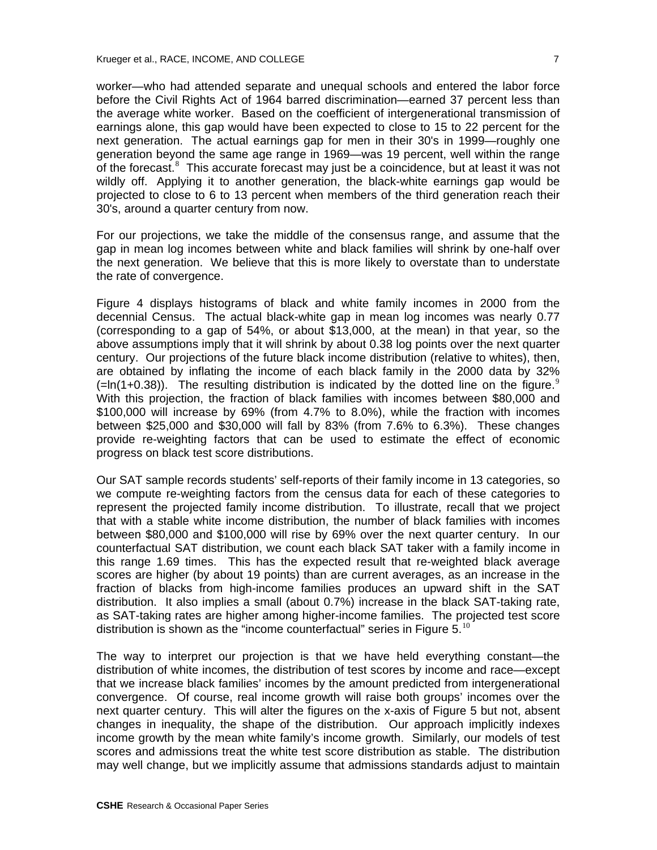worker—who had attended separate and unequal schools and entered the labor force before the Civil Rights Act of 1964 barred discrimination—earned 37 percent less than the average white worker. Based on the coefficient of intergenerational transmission of earnings alone, this gap would have been expected to close to 15 to 22 percent for the next generation. The actual earnings gap for men in their 30's in 1999—roughly one generation beyond the same age range in 1969—was 19 percent, well within the range of the forecast.<sup>8</sup> This accurate forecast may just be a coincidence, but at least it was not wildly off. Applying it to another generation, the black-white earnings gap would be projected to close to 6 to 13 percent when members of the third generation reach their 30's, around a quarter century from now.

For our projections, we take the middle of the consensus range, and assume that the gap in mean log incomes between white and black families will shrink by one-half over the next generation. We believe that this is more likely to overstate than to understate the rate of convergence.

Figure 4 displays histograms of black and white family incomes in 2000 from the decennial Census. The actual black-white gap in mean log incomes was nearly 0.77 (corresponding to a gap of 54%, or about \$13,000, at the mean) in that year, so the above assumptions imply that it will shrink by about 0.38 log points over the next quarter century. Our projections of the future black income distribution (relative to whites), then, are obtained by inflating the income of each black family in the 2000 data by 32%  $(=\ln(1+0.38))$ . The resulting distribution is indicated by the dotted line on the figure.<sup>9</sup> With this projection, the fraction of black families with incomes between \$80,000 and \$100,000 will increase by 69% (from 4.7% to 8.0%), while the fraction with incomes between \$25,000 and \$30,000 will fall by 83% (from 7.6% to 6.3%). These changes provide re-weighting factors that can be used to estimate the effect of economic progress on black test score distributions.

Our SAT sample records students' self-reports of their family income in 13 categories, so we compute re-weighting factors from the census data for each of these categories to represent the projected family income distribution. To illustrate, recall that we project that with a stable white income distribution, the number of black families with incomes between \$80,000 and \$100,000 will rise by 69% over the next quarter century. In our counterfactual SAT distribution, we count each black SAT taker with a family income in this range 1.69 times. This has the expected result that re-weighted black average scores are higher (by about 19 points) than are current averages, as an increase in the fraction of blacks from high-income families produces an upward shift in the SAT distribution. It also implies a small (about 0.7%) increase in the black SAT-taking rate, as SAT-taking rates are higher among higher-income families. The projected test score distribution is shown as the "income counterfactual" series in Figure 5. $^{10}$ 

The way to interpret our projection is that we have held everything constant—the distribution of white incomes, the distribution of test scores by income and race—except that we increase black families' incomes by the amount predicted from intergenerational convergence. Of course, real income growth will raise both groups' incomes over the next quarter century. This will alter the figures on the x-axis of Figure 5 but not, absent changes in inequality, the shape of the distribution. Our approach implicitly indexes income growth by the mean white family's income growth. Similarly, our models of test scores and admissions treat the white test score distribution as stable. The distribution may well change, but we implicitly assume that admissions standards adjust to maintain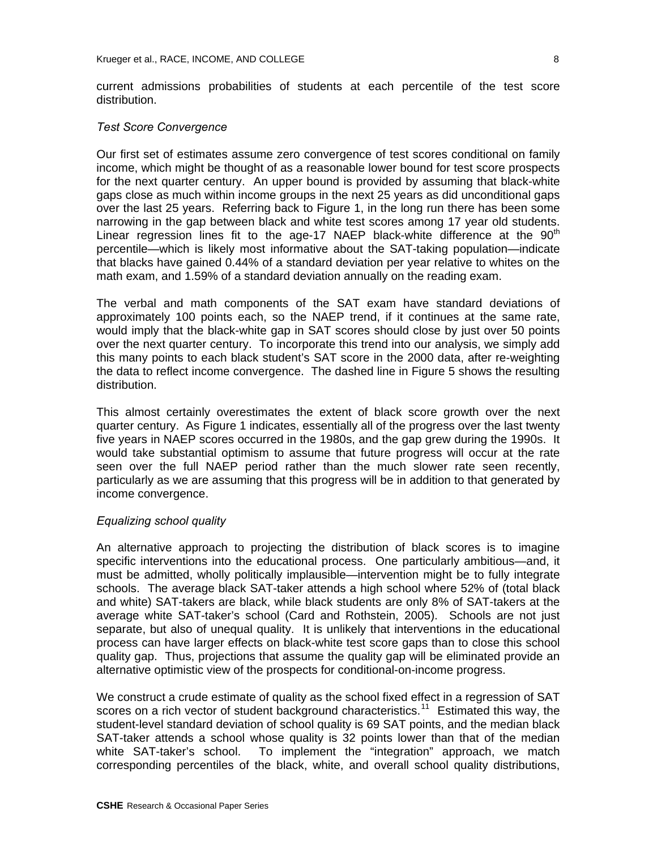current admissions probabilities of students at each percentile of the test score distribution.

#### *Test Score Convergence*

Our first set of estimates assume zero convergence of test scores conditional on family income, which might be thought of as a reasonable lower bound for test score prospects for the next quarter century. An upper bound is provided by assuming that black-white gaps close as much within income groups in the next 25 years as did unconditional gaps over the last 25 years. Referring back to Figure 1, in the long run there has been some narrowing in the gap between black and white test scores among 17 year old students. Linear regression lines fit to the age-17 NAEP black-white difference at the  $90<sup>th</sup>$ percentile—which is likely most informative about the SAT-taking population—indicate that blacks have gained 0.44% of a standard deviation per year relative to whites on the math exam, and 1.59% of a standard deviation annually on the reading exam.

The verbal and math components of the SAT exam have standard deviations of approximately 100 points each, so the NAEP trend, if it continues at the same rate, would imply that the black-white gap in SAT scores should close by just over 50 points over the next quarter century. To incorporate this trend into our analysis, we simply add this many points to each black student's SAT score in the 2000 data, after re-weighting the data to reflect income convergence. The dashed line in Figure 5 shows the resulting distribution.

This almost certainly overestimates the extent of black score growth over the next quarter century. As Figure 1 indicates, essentially all of the progress over the last twenty five years in NAEP scores occurred in the 1980s, and the gap grew during the 1990s. It would take substantial optimism to assume that future progress will occur at the rate seen over the full NAEP period rather than the much slower rate seen recently, particularly as we are assuming that this progress will be in addition to that generated by income convergence.

# *Equalizing school quality*

An alternative approach to projecting the distribution of black scores is to imagine specific interventions into the educational process. One particularly ambitious—and, it must be admitted, wholly politically implausible—intervention might be to fully integrate schools. The average black SAT-taker attends a high school where 52% of (total black and white) SAT-takers are black, while black students are only 8% of SAT-takers at the average white SAT-taker's school (Card and Rothstein, 2005). Schools are not just separate, but also of unequal quality. It is unlikely that interventions in the educational process can have larger effects on black-white test score gaps than to close this school quality gap. Thus, projections that assume the quality gap will be eliminated provide an alternative optimistic view of the prospects for conditional-on-income progress.

We construct a crude estimate of quality as the school fixed effect in a regression of SAT scores on a rich vector of student background characteristics.<sup>11</sup> Estimated this way, the student-level standard deviation of school quality is 69 SAT points, and the median black SAT-taker attends a school whose quality is 32 points lower than that of the median white SAT-taker's school. To implement the "integration" approach, we match corresponding percentiles of the black, white, and overall school quality distributions,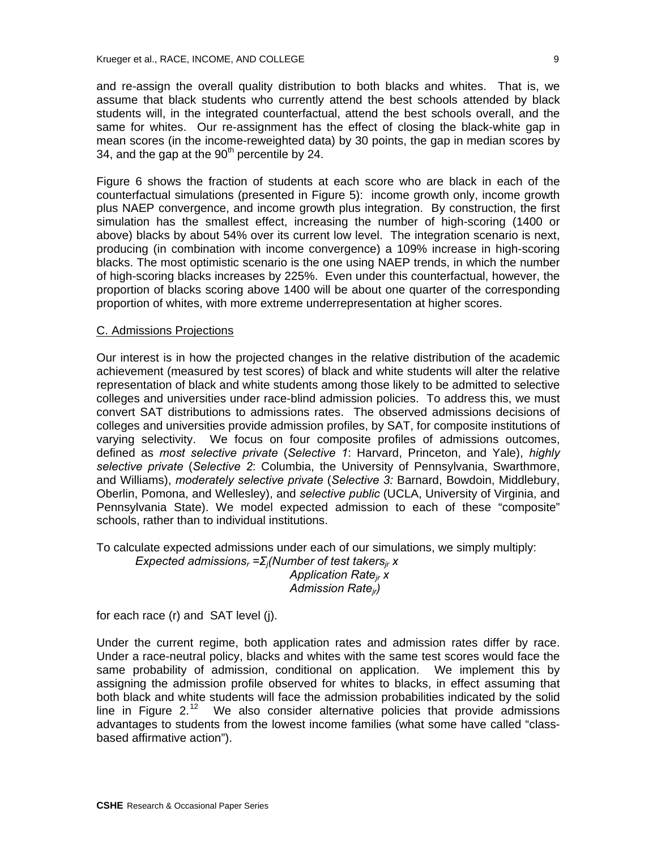and re-assign the overall quality distribution to both blacks and whites. That is, we assume that black students who currently attend the best schools attended by black students will, in the integrated counterfactual, attend the best schools overall, and the same for whites. Our re-assignment has the effect of closing the black-white gap in mean scores (in the income-reweighted data) by 30 points, the gap in median scores by 34, and the gap at the  $90<sup>th</sup>$  percentile by 24.

Figure 6 shows the fraction of students at each score who are black in each of the counterfactual simulations (presented in Figure 5): income growth only, income growth plus NAEP convergence, and income growth plus integration. By construction, the first simulation has the smallest effect, increasing the number of high-scoring (1400 or above) blacks by about 54% over its current low level. The integration scenario is next, producing (in combination with income convergence) a 109% increase in high-scoring blacks. The most optimistic scenario is the one using NAEP trends, in which the number of high-scoring blacks increases by 225%. Even under this counterfactual, however, the proportion of blacks scoring above 1400 will be about one quarter of the corresponding proportion of whites, with more extreme underrepresentation at higher scores.

## C. Admissions Projections

Our interest is in how the projected changes in the relative distribution of the academic achievement (measured by test scores) of black and white students will alter the relative representation of black and white students among those likely to be admitted to selective colleges and universities under race-blind admission policies. To address this, we must convert SAT distributions to admissions rates. The observed admissions decisions of colleges and universities provide admission profiles, by SAT, for composite institutions of varying selectivity. We focus on four composite profiles of admissions outcomes, defined as *most selective private* (*Selective 1*: Harvard, Princeton, and Yale), *highly selective private* (*Selective 2*: Columbia, the University of Pennsylvania, Swarthmore, and Williams), *moderately selective private* (*Selective 3:* Barnard, Bowdoin, Middlebury, Oberlin, Pomona, and Wellesley), and *selective public* (UCLA, University of Virginia, and Pennsylvania State). We model expected admission to each of these "composite" schools, rather than to individual institutions.

To calculate expected admissions under each of our simulations, we simply multiply:

*Expected admissionsr =Σj(Number of test takersjr x Application Ratejr x Admission Ratejr)*

for each race (r) and SAT level (j).

Under the current regime, both application rates and admission rates differ by race. Under a race-neutral policy, blacks and whites with the same test scores would face the same probability of admission, conditional on application. We implement this by assigning the admission profile observed for whites to blacks, in effect assuming that both black and white students will face the admission probabilities indicated by the solid line in Figure  $2^{12}$  We also consider alternative policies that provide admissions advantages to students from the lowest income families (what some have called "classbased affirmative action").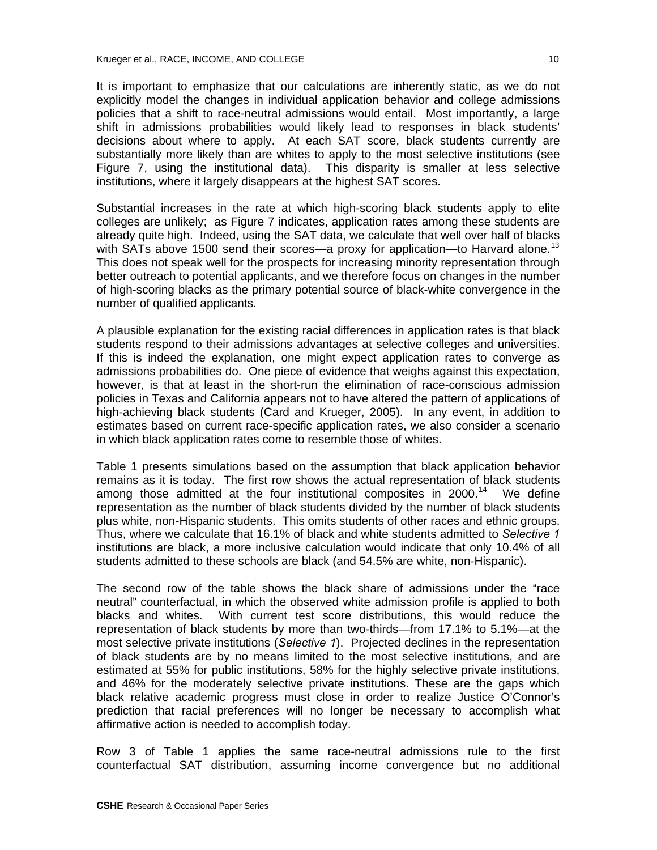It is important to emphasize that our calculations are inherently static, as we do not explicitly model the changes in individual application behavior and college admissions policies that a shift to race-neutral admissions would entail. Most importantly, a large shift in admissions probabilities would likely lead to responses in black students' decisions about where to apply. At each SAT score, black students currently are substantially more likely than are whites to apply to the most selective institutions (see Figure 7, using the institutional data). This disparity is smaller at less selective institutions, where it largely disappears at the highest SAT scores.

Substantial increases in the rate at which high-scoring black students apply to elite colleges are unlikely; as Figure 7 indicates, application rates among these students are already quite high. Indeed, using the SAT data, we calculate that well over half of blacks with SATs above 1500 send their scores—a proxy for application—to Harvard alone.<sup>13</sup> This does not speak well for the prospects for increasing minority representation through better outreach to potential applicants, and we therefore focus on changes in the number of high-scoring blacks as the primary potential source of black-white convergence in the number of qualified applicants.

A plausible explanation for the existing racial differences in application rates is that black students respond to their admissions advantages at selective colleges and universities. If this is indeed the explanation, one might expect application rates to converge as admissions probabilities do. One piece of evidence that weighs against this expectation, however, is that at least in the short-run the elimination of race-conscious admission policies in Texas and California appears not to have altered the pattern of applications of high-achieving black students (Card and Krueger, 2005). In any event, in addition to estimates based on current race-specific application rates, we also consider a scenario in which black application rates come to resemble those of whites.

Table 1 presents simulations based on the assumption that black application behavior remains as it is today. The first row shows the actual representation of black students among those admitted at the four institutional composites in  $2000$ .<sup>14</sup> We define representation as the number of black students divided by the number of black students plus white, non-Hispanic students. This omits students of other races and ethnic groups. Thus, where we calculate that 16.1% of black and white students admitted to *Selective 1* institutions are black, a more inclusive calculation would indicate that only 10.4% of all students admitted to these schools are black (and 54.5% are white, non-Hispanic).

The second row of the table shows the black share of admissions under the "race neutral" counterfactual, in which the observed white admission profile is applied to both blacks and whites. With current test score distributions, this would reduce the representation of black students by more than two-thirds—from 17.1% to 5.1%—at the most selective private institutions (*Selective 1*). Projected declines in the representation of black students are by no means limited to the most selective institutions, and are estimated at 55% for public institutions, 58% for the highly selective private institutions, and 46% for the moderately selective private institutions. These are the gaps which black relative academic progress must close in order to realize Justice O'Connor's prediction that racial preferences will no longer be necessary to accomplish what affirmative action is needed to accomplish today.

Row 3 of Table 1 applies the same race-neutral admissions rule to the first counterfactual SAT distribution, assuming income convergence but no additional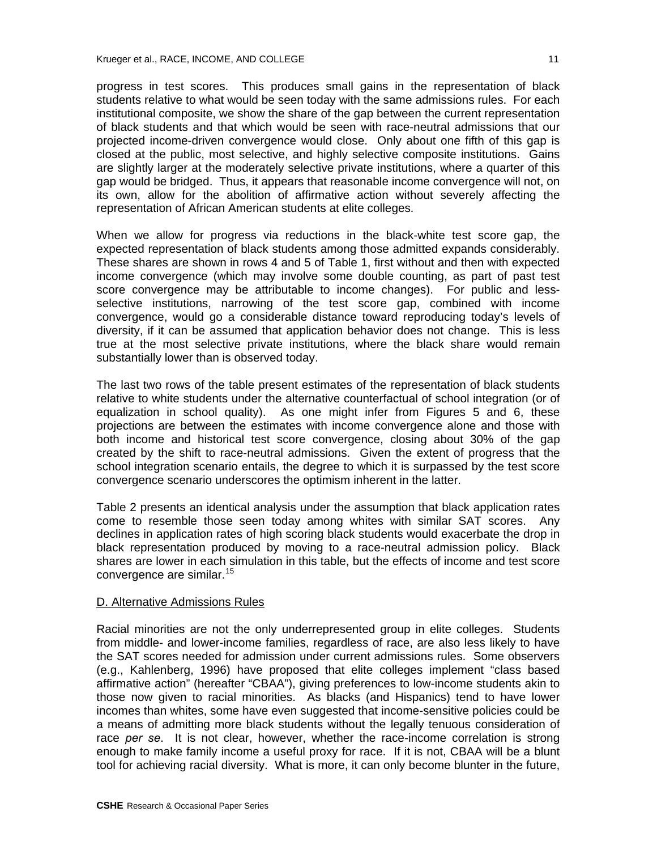progress in test scores. This produces small gains in the representation of black students relative to what would be seen today with the same admissions rules. For each institutional composite, we show the share of the gap between the current representation of black students and that which would be seen with race-neutral admissions that our projected income-driven convergence would close. Only about one fifth of this gap is closed at the public, most selective, and highly selective composite institutions. Gains are slightly larger at the moderately selective private institutions, where a quarter of this gap would be bridged. Thus, it appears that reasonable income convergence will not, on its own, allow for the abolition of affirmative action without severely affecting the representation of African American students at elite colleges*.*

When we allow for progress via reductions in the black-white test score gap, the expected representation of black students among those admitted expands considerably. These shares are shown in rows 4 and 5 of Table 1, first without and then with expected income convergence (which may involve some double counting, as part of past test score convergence may be attributable to income changes). For public and lessselective institutions, narrowing of the test score gap, combined with income convergence, would go a considerable distance toward reproducing today's levels of diversity, if it can be assumed that application behavior does not change. This is less true at the most selective private institutions, where the black share would remain substantially lower than is observed today.

The last two rows of the table present estimates of the representation of black students relative to white students under the alternative counterfactual of school integration (or of equalization in school quality). As one might infer from Figures 5 and 6, these projections are between the estimates with income convergence alone and those with both income and historical test score convergence, closing about 30% of the gap created by the shift to race-neutral admissions. Given the extent of progress that the school integration scenario entails, the degree to which it is surpassed by the test score convergence scenario underscores the optimism inherent in the latter.

Table 2 presents an identical analysis under the assumption that black application rates come to resemble those seen today among whites with similar SAT scores. Any declines in application rates of high scoring black students would exacerbate the drop in black representation produced by moving to a race-neutral admission policy. Black shares are lower in each simulation in this table, but the effects of income and test score convergence are similar.<sup>15</sup>

### D. Alternative Admissions Rules

Racial minorities are not the only underrepresented group in elite colleges. Students from middle- and lower-income families, regardless of race, are also less likely to have the SAT scores needed for admission under current admissions rules. Some observers (e.g., Kahlenberg, 1996) have proposed that elite colleges implement "class based affirmative action" (hereafter "CBAA"), giving preferences to low-income students akin to those now given to racial minorities. As blacks (and Hispanics) tend to have lower incomes than whites, some have even suggested that income-sensitive policies could be a means of admitting more black students without the legally tenuous consideration of race *per se*. It is not clear, however, whether the race-income correlation is strong enough to make family income a useful proxy for race. If it is not, CBAA will be a blunt tool for achieving racial diversity. What is more, it can only become blunter in the future,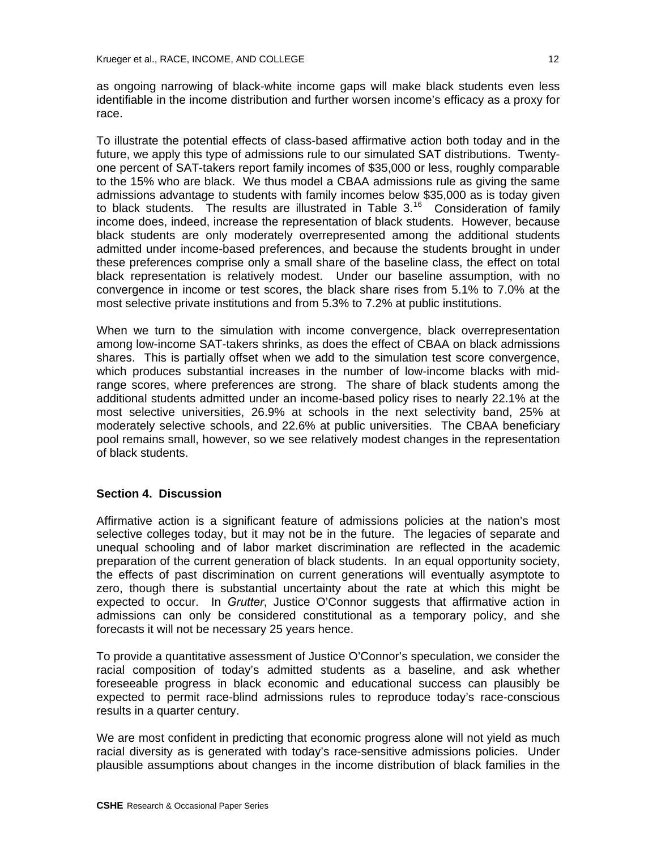as ongoing narrowing of black-white income gaps will make black students even less identifiable in the income distribution and further worsen income's efficacy as a proxy for race.

To illustrate the potential effects of class-based affirmative action both today and in the future, we apply this type of admissions rule to our simulated SAT distributions. Twentyone percent of SAT-takers report family incomes of \$35,000 or less, roughly comparable to the 15% who are black. We thus model a CBAA admissions rule as giving the same admissions advantage to students with family incomes below \$35,000 as is today given to black students. The results are illustrated in Table 3.<sup>16</sup> Consideration of family income does, indeed, increase the representation of black students. However, because black students are only moderately overrepresented among the additional students admitted under income-based preferences, and because the students brought in under these preferences comprise only a small share of the baseline class, the effect on total black representation is relatively modest. Under our baseline assumption, with no convergence in income or test scores, the black share rises from 5.1% to 7.0% at the most selective private institutions and from 5.3% to 7.2% at public institutions.

When we turn to the simulation with income convergence, black overrepresentation among low-income SAT-takers shrinks, as does the effect of CBAA on black admissions shares. This is partially offset when we add to the simulation test score convergence, which produces substantial increases in the number of low-income blacks with midrange scores, where preferences are strong. The share of black students among the additional students admitted under an income-based policy rises to nearly 22.1% at the most selective universities, 26.9% at schools in the next selectivity band, 25% at moderately selective schools, and 22.6% at public universities. The CBAA beneficiary pool remains small, however, so we see relatively modest changes in the representation of black students.

# **Section 4. Discussion**

Affirmative action is a significant feature of admissions policies at the nation's most selective colleges today, but it may not be in the future. The legacies of separate and unequal schooling and of labor market discrimination are reflected in the academic preparation of the current generation of black students. In an equal opportunity society, the effects of past discrimination on current generations will eventually asymptote to zero, though there is substantial uncertainty about the rate at which this might be expected to occur. In *Grutter*, Justice O'Connor suggests that affirmative action in admissions can only be considered constitutional as a temporary policy, and she forecasts it will not be necessary 25 years hence.

To provide a quantitative assessment of Justice O'Connor's speculation, we consider the racial composition of today's admitted students as a baseline, and ask whether foreseeable progress in black economic and educational success can plausibly be expected to permit race-blind admissions rules to reproduce today's race-conscious results in a quarter century.

We are most confident in predicting that economic progress alone will not yield as much racial diversity as is generated with today's race-sensitive admissions policies. Under plausible assumptions about changes in the income distribution of black families in the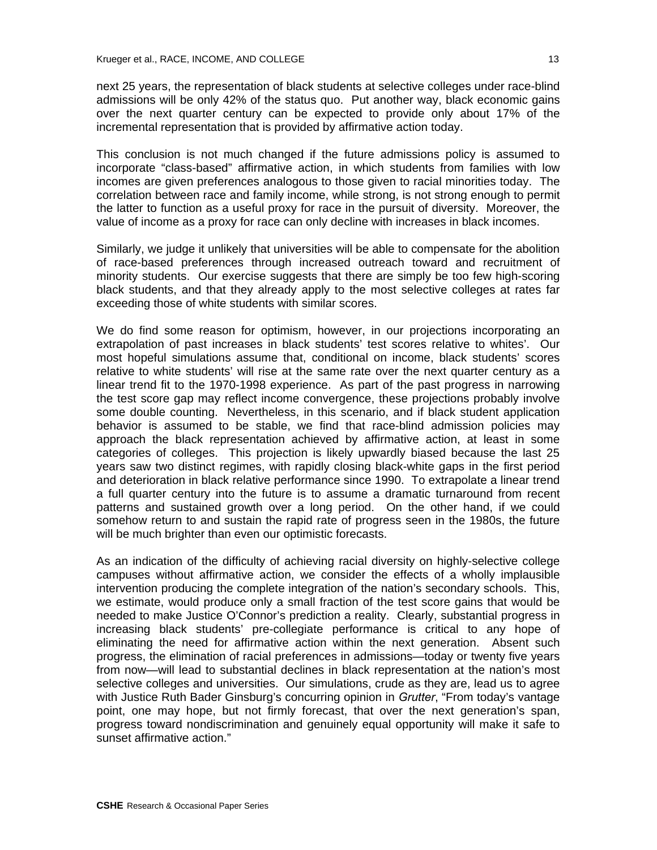next 25 years, the representation of black students at selective colleges under race-blind admissions will be only 42% of the status quo. Put another way, black economic gains over the next quarter century can be expected to provide only about 17% of the incremental representation that is provided by affirmative action today.

This conclusion is not much changed if the future admissions policy is assumed to incorporate "class-based" affirmative action, in which students from families with low incomes are given preferences analogous to those given to racial minorities today. The correlation between race and family income, while strong, is not strong enough to permit the latter to function as a useful proxy for race in the pursuit of diversity. Moreover, the value of income as a proxy for race can only decline with increases in black incomes.

Similarly, we judge it unlikely that universities will be able to compensate for the abolition of race-based preferences through increased outreach toward and recruitment of minority students. Our exercise suggests that there are simply be too few high-scoring black students, and that they already apply to the most selective colleges at rates far exceeding those of white students with similar scores.

We do find some reason for optimism, however, in our projections incorporating an extrapolation of past increases in black students' test scores relative to whites'. Our most hopeful simulations assume that, conditional on income, black students' scores relative to white students' will rise at the same rate over the next quarter century as a linear trend fit to the 1970-1998 experience. As part of the past progress in narrowing the test score gap may reflect income convergence, these projections probably involve some double counting. Nevertheless, in this scenario, and if black student application behavior is assumed to be stable, we find that race-blind admission policies may approach the black representation achieved by affirmative action, at least in some categories of colleges. This projection is likely upwardly biased because the last 25 years saw two distinct regimes, with rapidly closing black-white gaps in the first period and deterioration in black relative performance since 1990. To extrapolate a linear trend a full quarter century into the future is to assume a dramatic turnaround from recent patterns and sustained growth over a long period. On the other hand, if we could somehow return to and sustain the rapid rate of progress seen in the 1980s, the future will be much brighter than even our optimistic forecasts.

As an indication of the difficulty of achieving racial diversity on highly-selective college campuses without affirmative action, we consider the effects of a wholly implausible intervention producing the complete integration of the nation's secondary schools. This, we estimate, would produce only a small fraction of the test score gains that would be needed to make Justice O'Connor's prediction a reality. Clearly, substantial progress in increasing black students' pre-collegiate performance is critical to any hope of eliminating the need for affirmative action within the next generation. Absent such progress, the elimination of racial preferences in admissions—today or twenty five years from now—will lead to substantial declines in black representation at the nation's most selective colleges and universities. Our simulations, crude as they are, lead us to agree with Justice Ruth Bader Ginsburg's concurring opinion in *Grutter*, "From today's vantage point, one may hope, but not firmly forecast, that over the next generation's span, progress toward nondiscrimination and genuinely equal opportunity will make it safe to sunset affirmative action."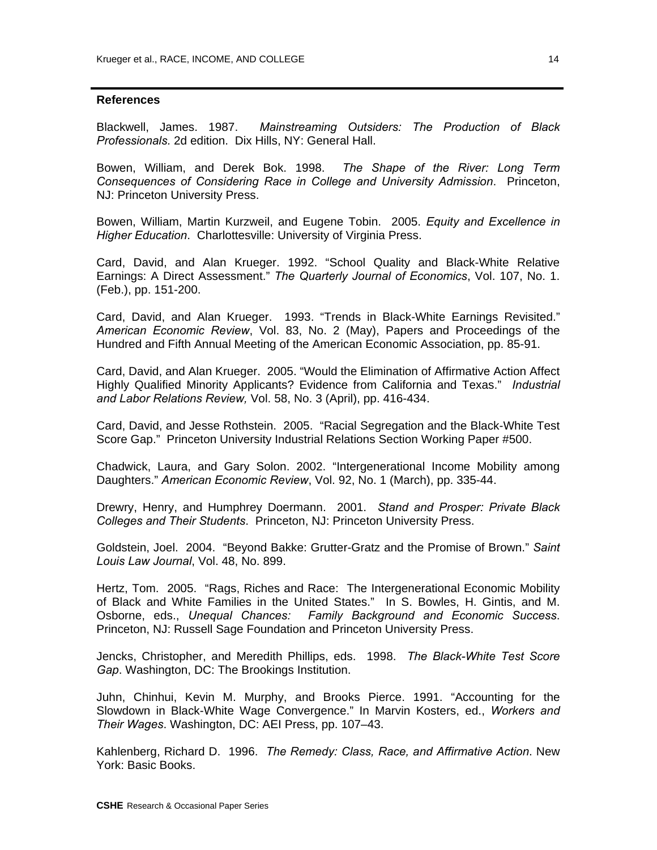## **References**

Blackwell, James. 1987. *Mainstreaming Outsiders: The Production of Black Professionals.* 2d edition. Dix Hills, NY: General Hall.

Bowen, William, and Derek Bok. 1998. *The Shape of the River: Long Term Consequences of Considering Race in College and University Admission*. Princeton, NJ: Princeton University Press.

Bowen, William, Martin Kurzweil, and Eugene Tobin. 2005. *Equity and Excellence in Higher Education*. Charlottesville: University of Virginia Press.

Card, David, and Alan Krueger. 1992. "School Quality and Black-White Relative Earnings: A Direct Assessment." *The Quarterly Journal of Economics*, Vol. 107, No. 1. (Feb.), pp. 151-200.

Card, David, and Alan Krueger. 1993. "Trends in Black-White Earnings Revisited." *American Economic Review*, Vol. 83, No. 2 (May), Papers and Proceedings of the Hundred and Fifth Annual Meeting of the American Economic Association, pp. 85-91.

Card, David, and Alan Krueger. 2005. "Would the Elimination of Affirmative Action Affect Highly Qualified Minority Applicants? Evidence from California and Texas." *Industrial and Labor Relations Review,* Vol. 58, No. 3 (April), pp. 416-434.

Card, David, and Jesse Rothstein. 2005. "Racial Segregation and the Black-White Test Score Gap." Princeton University Industrial Relations Section Working Paper #500.

Chadwick, Laura, and Gary Solon. 2002. "Intergenerational Income Mobility among Daughters." *American Economic Review*, Vol. 92, No. 1 (March), pp. 335-44.

Drewry, Henry, and Humphrey Doermann. 2001. *Stand and Prosper: Private Black Colleges and Their Students*. Princeton, NJ: Princeton University Press.

Goldstein, Joel. 2004. "Beyond Bakke: Grutter-Gratz and the Promise of Brown." *Saint Louis Law Journal*, Vol. 48, No. 899.

Hertz, Tom. 2005. "Rags, Riches and Race: The Intergenerational Economic Mobility of Black and White Families in the United States." In S. Bowles, H. Gintis, and M. Osborne, eds., *Unequal Chances: Family Background and Economic Success*. Princeton, NJ: Russell Sage Foundation and Princeton University Press.

Jencks, Christopher, and Meredith Phillips, eds. 1998. *The Black-White Test Score Gap*. Washington, DC: The Brookings Institution.

Juhn, Chinhui, Kevin M. Murphy, and Brooks Pierce. 1991. "Accounting for the Slowdown in Black-White Wage Convergence." In Marvin Kosters, ed., *Workers and Their Wages*. Washington, DC: AEI Press, pp. 107–43.

Kahlenberg, Richard D. 1996. *The Remedy: Class, Race, and Affirmative Action*. New York: Basic Books.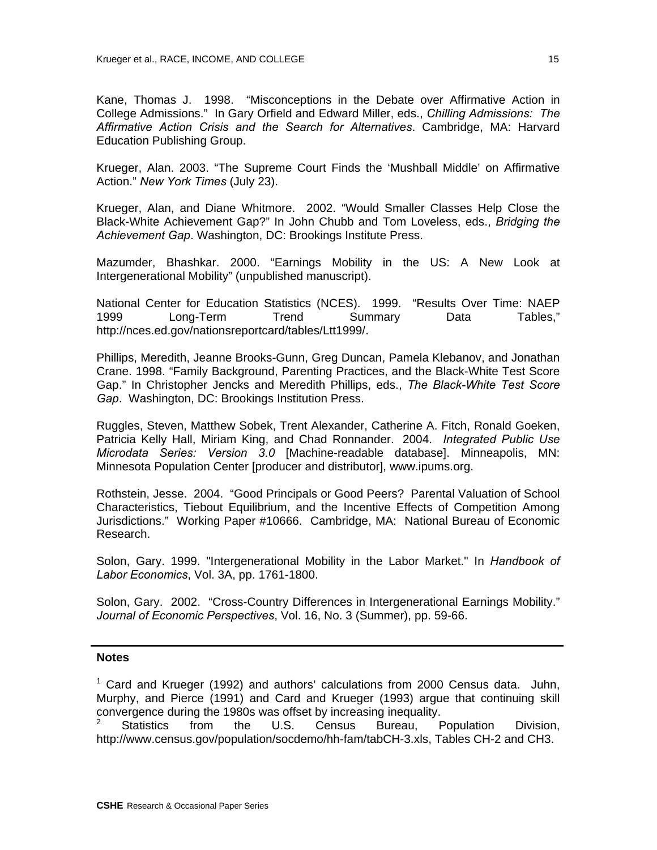Kane, Thomas J. 1998. "Misconceptions in the Debate over Affirmative Action in College Admissions." In Gary Orfield and Edward Miller, eds., *Chilling Admissions: The Affirmative Action Crisis and the Search for Alternatives*. Cambridge, MA: Harvard Education Publishing Group.

Krueger, Alan. 2003. "The Supreme Court Finds the 'Mushball Middle' on Affirmative Action." *New York Times* (July 23).

Krueger, Alan, and Diane Whitmore. 2002. "Would Smaller Classes Help Close the Black-White Achievement Gap?" In John Chubb and Tom Loveless, eds., *Bridging the Achievement Gap*. Washington, DC: Brookings Institute Press.

Mazumder, Bhashkar. 2000. "Earnings Mobility in the US: A New Look at Intergenerational Mobility" (unpublished manuscript).

National Center for Education Statistics (NCES). 1999. "Results Over Time: NAEP 1999 Long-Term Trend Summary Data Tables," http://nces.ed.gov/nationsreportcard/tables/Ltt1999/.

Phillips, Meredith, Jeanne Brooks-Gunn, Greg Duncan, Pamela Klebanov, and Jonathan Crane. 1998. "Family Background, Parenting Practices, and the Black-White Test Score Gap." In Christopher Jencks and Meredith Phillips, eds., *The Black-White Test Score Gap*. Washington, DC: Brookings Institution Press.

Ruggles, Steven, Matthew Sobek, Trent Alexander, Catherine A. Fitch, Ronald Goeken, Patricia Kelly Hall, Miriam King, and Chad Ronnander. 2004. *Integrated Public Use Microdata Series: Version 3.0* [Machine-readable database]. Minneapolis, MN: Minnesota Population Center [producer and distributor], www.ipums.org.

Rothstein, Jesse. 2004. "Good Principals or Good Peers? Parental Valuation of School Characteristics, Tiebout Equilibrium, and the Incentive Effects of Competition Among Jurisdictions." Working Paper #10666. Cambridge, MA: National Bureau of Economic Research.

Solon, Gary. 1999. "Intergenerational Mobility in the Labor Market." In *Handbook of Labor Economics*, Vol. 3A, pp. 1761-1800.

Solon, Gary. 2002. "Cross-Country Differences in Intergenerational Earnings Mobility." *Journal of Economic Perspectives*, Vol. 16, No. 3 (Summer), pp. 59-66.

#### **Notes**

<sup>1</sup> Card and Krueger (1992) and authors' calculations from 2000 Census data. Juhn, Murphy, and Pierce (1991) and Card and Krueger (1993) argue that continuing skill convergence during the 1980s was offset by increasing inequality.

2 Statistics from the U.S. Census Bureau, Population Division, http://www.census.gov/population/socdemo/hh-fam/tabCH-3.xls, Tables CH-2 and CH3.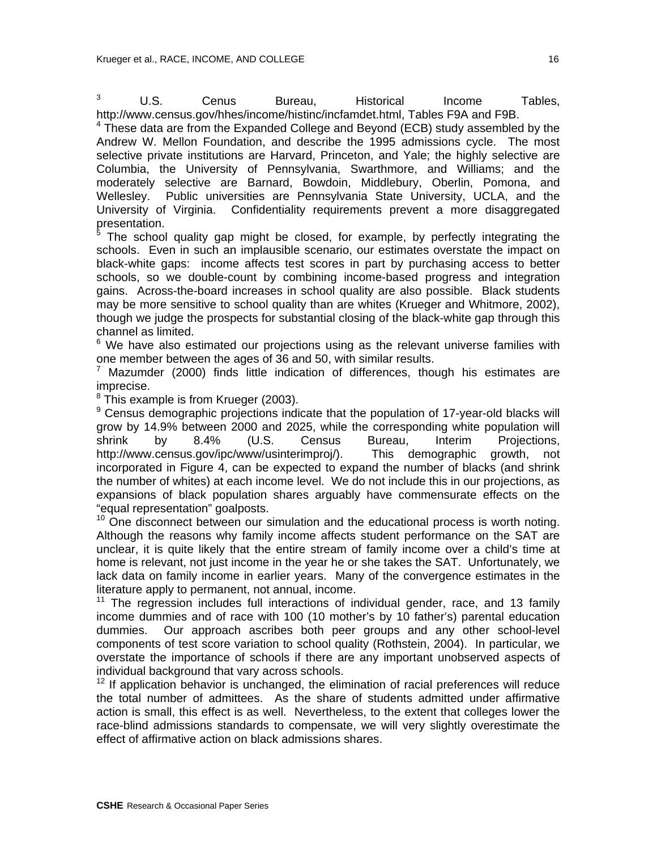3 U.S. Cenus Bureau, Historical Income Tables, http://www.census.gov/hhes/income/histinc/incfamdet.html, Tables F9A and F9B.

 $4$  These data are from the Expanded College and Beyond (ECB) study assembled by the Andrew W. Mellon Foundation, and describe the 1995 admissions cycle. The most selective private institutions are Harvard, Princeton, and Yale; the highly selective are Columbia, the University of Pennsylvania, Swarthmore, and Williams; and the moderately selective are Barnard, Bowdoin, Middlebury, Oberlin, Pomona, and Wellesley. Public universities are Pennsylvania State University, UCLA, and the University of Virginia. Confidentiality requirements prevent a more disaggregated presentation.

<sup>5</sup> The school quality gap might be closed, for example, by perfectly integrating the schools. Even in such an implausible scenario, our estimates overstate the impact on black-white gaps: income affects test scores in part by purchasing access to better schools, so we double-count by combining income-based progress and integration gains. Across-the-board increases in school quality are also possible. Black students may be more sensitive to school quality than are whites (Krueger and Whitmore, 2002), though we judge the prospects for substantial closing of the black-white gap through this channel as limited.

 $6$  We have also estimated our projections using as the relevant universe families with one member between the ages of 36 and 50, with similar results.

7 Mazumder (2000) finds little indication of differences, though his estimates are imprecise.

<sup>8</sup> This example is from Krueger (2003).

<sup>9</sup> Census demographic projections indicate that the population of 17-year-old blacks will grow by 14.9% between 2000 and 2025, while the corresponding white population will shrink by 8.4% (U.S. Census Bureau, Interim Projections, http://www.census.gov/ipc/www/usinterimproj/). This demographic growth, not incorporated in Figure 4, can be expected to expand the number of blacks (and shrink the number of whites) at each income level. We do not include this in our projections, as expansions of black population shares arguably have commensurate effects on the "equal representation" goalposts.

 $10$  One disconnect between our simulation and the educational process is worth noting. Although the reasons why family income affects student performance on the SAT are unclear, it is quite likely that the entire stream of family income over a child's time at home is relevant, not just income in the year he or she takes the SAT. Unfortunately, we lack data on family income in earlier years. Many of the convergence estimates in the literature apply to permanent, not annual, income.

 $11$  The regression includes full interactions of individual gender, race, and 13 family income dummies and of race with 100 (10 mother's by 10 father's) parental education dummies. Our approach ascribes both peer groups and any other school-level components of test score variation to school quality (Rothstein, 2004). In particular, we overstate the importance of schools if there are any important unobserved aspects of individual background that vary across schools.

 $12$  If application behavior is unchanged, the elimination of racial preferences will reduce the total number of admittees. As the share of students admitted under affirmative action is small, this effect is as well. Nevertheless, to the extent that colleges lower the race-blind admissions standards to compensate, we will very slightly overestimate the effect of affirmative action on black admissions shares.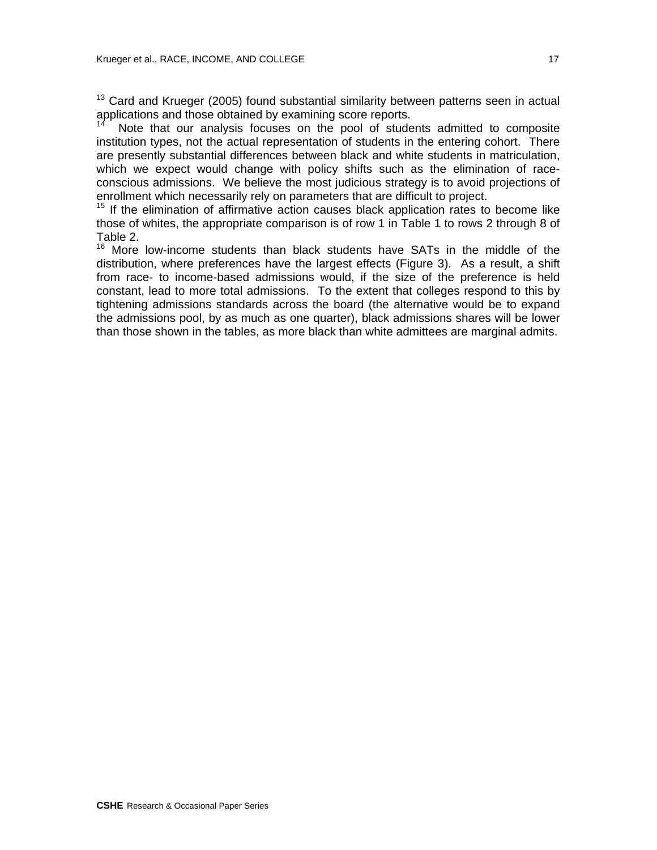<sup>13</sup> Card and Krueger (2005) found substantial similarity between patterns seen in actual applications and those obtained by examining score reports.

Note that our analysis focuses on the pool of students admitted to composite institution types, not the actual representation of students in the entering cohort. There are presently substantial differences between black and white students in matriculation, which we expect would change with policy shifts such as the elimination of raceconscious admissions. We believe the most judicious strategy is to avoid projections of enrollment which necessarily rely on parameters that are difficult to project.

 $15$  If the elimination of affirmative action causes black application rates to become like those of whites, the appropriate comparison is of row 1 in Table 1 to rows 2 through 8 of Table 2.

<sup>16</sup> More low-income students than black students have SATs in the middle of the distribution, where preferences have the largest effects (Figure 3). As a result, a shift from race- to income-based admissions would, if the size of the preference is held constant, lead to more total admissions. To the extent that colleges respond to this by tightening admissions standards across the board (the alternative would be to expand the admissions pool, by as much as one quarter), black admissions shares will be lower than those shown in the tables, as more black than white admittees are marginal admits.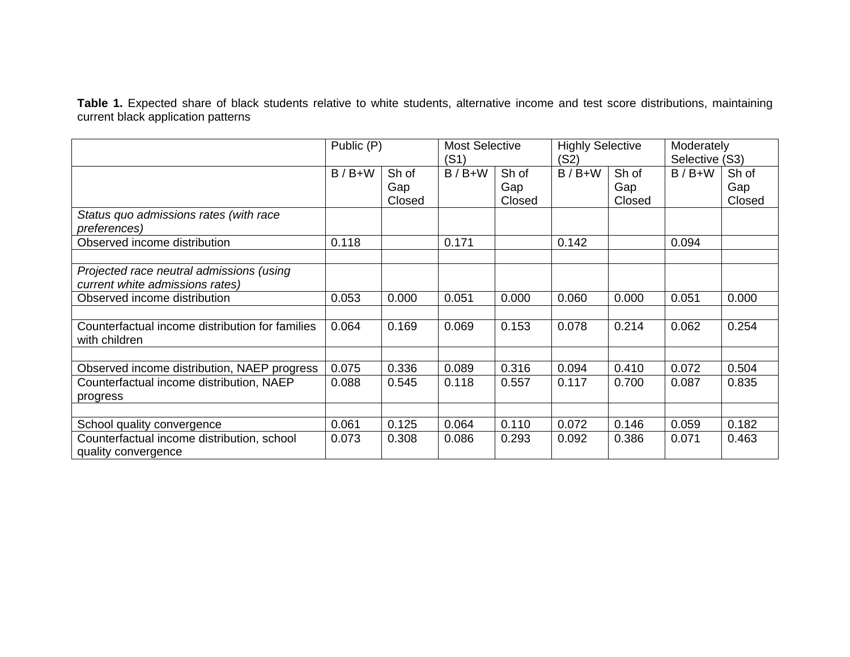**Table 1.** Expected share of black students relative to white students, alternative income and test score distributions, maintaining current black application patterns

|                                                                                                     | Public (P) |                        | <b>Most Selective</b><br>(S1) |                        | <b>Highly Selective</b><br>(S2) |                        | Moderately<br>Selective (S3) |                        |
|-----------------------------------------------------------------------------------------------------|------------|------------------------|-------------------------------|------------------------|---------------------------------|------------------------|------------------------------|------------------------|
|                                                                                                     | $B/B+W$    | Sh of<br>Gap<br>Closed | $B/B+W$                       | Sh of<br>Gap<br>Closed | $B/B+W$                         | Sh of<br>Gap<br>Closed | $B/B+W$                      | Sh of<br>Gap<br>Closed |
| Status quo admissions rates (with race<br>preferences)                                              |            |                        |                               |                        |                                 |                        |                              |                        |
| Observed income distribution                                                                        | 0.118      |                        | 0.171                         |                        | 0.142                           |                        | 0.094                        |                        |
| Projected race neutral admissions (using<br>current white admissions rates)                         |            |                        |                               |                        |                                 |                        |                              |                        |
| Observed income distribution                                                                        | 0.053      | 0.000                  | 0.051                         | 0.000                  | 0.060                           | 0.000                  | 0.051                        | 0.000                  |
| Counterfactual income distribution for families<br>with children                                    | 0.064      | 0.169                  | 0.069                         | 0.153                  | 0.078                           | 0.214                  | 0.062                        | 0.254                  |
|                                                                                                     | 0.075      | 0.336                  | 0.089                         | 0.316                  | 0.094                           | 0.410                  | 0.072                        | 0.504                  |
| Observed income distribution, NAEP progress<br>Counterfactual income distribution, NAEP<br>progress | 0.088      | 0.545                  | 0.118                         | 0.557                  | 0.117                           | 0.700                  | 0.087                        | 0.835                  |
|                                                                                                     |            |                        |                               |                        |                                 |                        |                              |                        |
| School quality convergence                                                                          | 0.061      | 0.125                  | 0.064                         | 0.110                  | 0.072                           | 0.146                  | 0.059                        | 0.182                  |
| Counterfactual income distribution, school<br>quality convergence                                   | 0.073      | 0.308                  | 0.086                         | 0.293                  | 0.092                           | 0.386                  | 0.071                        | 0.463                  |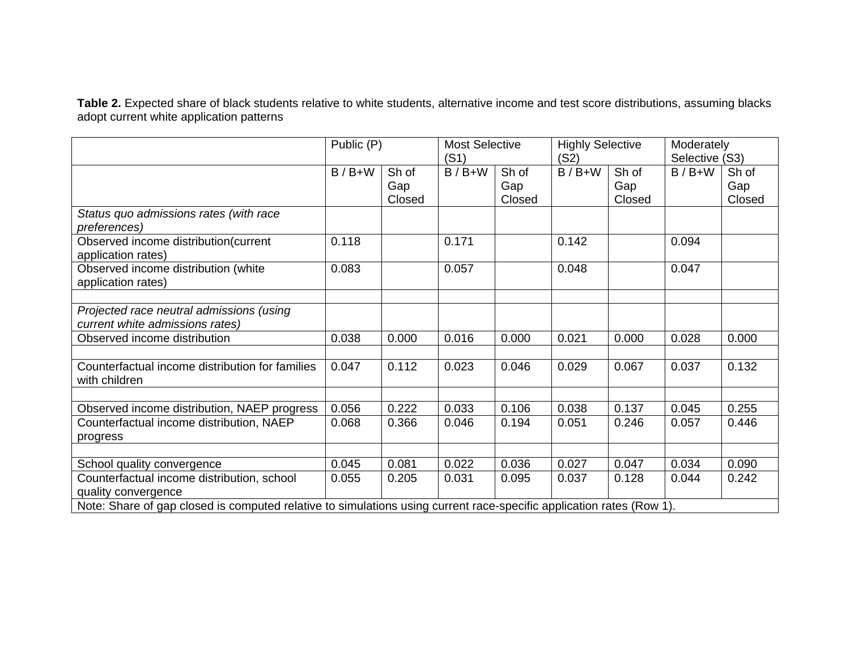**Table 2.** Expected share of black students relative to white students, alternative income and test score distributions, assuming blacks adopt current white application patterns

|                                                                                                                      | Public (P) |                        | <b>Most Selective</b><br>(S1) |                        | <b>Highly Selective</b><br>(S2) |                        | Moderately<br>Selective (S3) |                        |
|----------------------------------------------------------------------------------------------------------------------|------------|------------------------|-------------------------------|------------------------|---------------------------------|------------------------|------------------------------|------------------------|
|                                                                                                                      | $B/B+W$    | Sh of<br>Gap<br>Closed | $B/B+W$                       | Sh of<br>Gap<br>Closed | $B/B+W$                         | Sh of<br>Gap<br>Closed | $B/B+W$                      | Sh of<br>Gap<br>Closed |
| Status quo admissions rates (with race<br>preferences)                                                               |            |                        |                               |                        |                                 |                        |                              |                        |
| Observed income distribution(current<br>application rates)                                                           | 0.118      |                        | 0.171                         |                        | 0.142                           |                        | 0.094                        |                        |
| Observed income distribution (white<br>application rates)                                                            | 0.083      |                        | 0.057                         |                        | 0.048                           |                        | 0.047                        |                        |
|                                                                                                                      |            |                        |                               |                        |                                 |                        |                              |                        |
| Projected race neutral admissions (using<br>current white admissions rates)                                          |            |                        |                               |                        |                                 |                        |                              |                        |
| Observed income distribution                                                                                         | 0.038      | 0.000                  | 0.016                         | 0.000                  | 0.021                           | 0.000                  | 0.028                        | 0.000                  |
| Counterfactual income distribution for families<br>with children                                                     | 0.047      | 0.112                  | 0.023                         | 0.046                  | 0.029                           | 0.067                  | 0.037                        | 0.132                  |
|                                                                                                                      |            |                        |                               |                        |                                 |                        |                              |                        |
| Observed income distribution, NAEP progress                                                                          | 0.056      | 0.222                  | 0.033                         | 0.106                  | 0.038                           | 0.137                  | 0.045                        | 0.255                  |
| Counterfactual income distribution, NAEP<br>progress                                                                 | 0.068      | 0.366                  | 0.046                         | 0.194                  | 0.051                           | 0.246                  | 0.057                        | 0.446                  |
|                                                                                                                      |            |                        |                               |                        |                                 |                        |                              |                        |
| School quality convergence                                                                                           | 0.045      | 0.081                  | 0.022                         | 0.036                  | 0.027                           | 0.047                  | 0.034                        | 0.090                  |
| Counterfactual income distribution, school                                                                           | 0.055      | 0.205                  | 0.031                         | 0.095                  | 0.037                           | 0.128                  | 0.044                        | 0.242                  |
| quality convergence                                                                                                  |            |                        |                               |                        |                                 |                        |                              |                        |
| Note: Share of gap closed is computed relative to simulations using current race-specific application rates (Row 1). |            |                        |                               |                        |                                 |                        |                              |                        |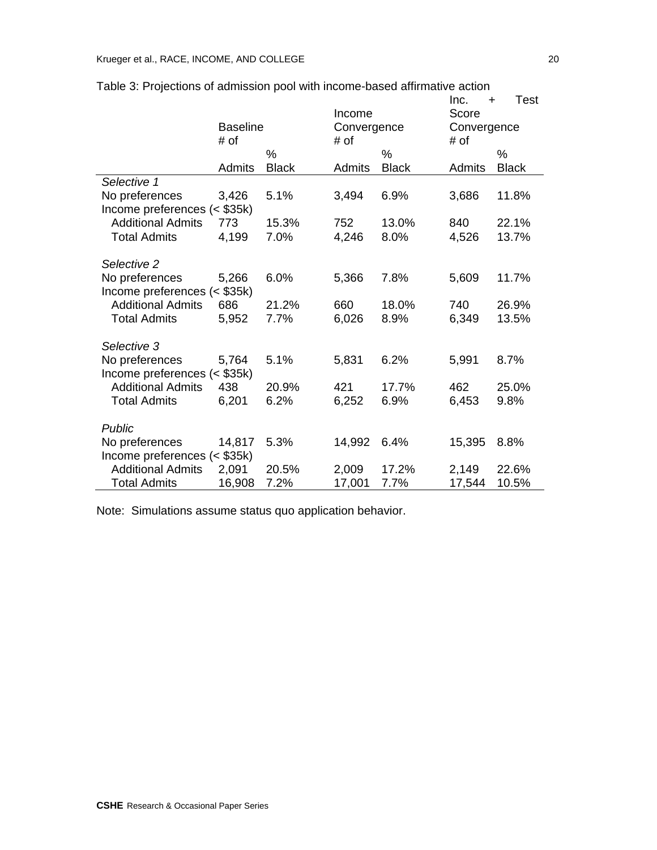|                              |                         |              |             |              | Test<br>Inc.<br>$\ddot{}$ |              |  |  |
|------------------------------|-------------------------|--------------|-------------|--------------|---------------------------|--------------|--|--|
|                              |                         |              | Income      |              |                           | Score        |  |  |
|                              | <b>Baseline</b><br># of |              | Convergence |              | Convergence<br># of       |              |  |  |
|                              |                         |              | # of        |              |                           |              |  |  |
|                              |                         | $\%$         |             | $\%$         |                           | $\%$         |  |  |
|                              | Admits                  | <b>Black</b> | Admits      | <b>Black</b> | <b>Admits</b>             | <b>Black</b> |  |  |
| Selective 1                  |                         |              |             |              |                           |              |  |  |
| No preferences               | 3,426                   | 5.1%         | 3,494       | 6.9%         | 3,686                     | 11.8%        |  |  |
| Income preferences (< \$35k) |                         |              |             |              |                           |              |  |  |
| <b>Additional Admits</b>     | 773                     | 15.3%        | 752         | 13.0%        | 840                       | 22.1%        |  |  |
| <b>Total Admits</b>          | 4,199                   | 7.0%         | 4,246       | 8.0%         | 4,526                     | 13.7%        |  |  |
|                              |                         |              |             |              |                           |              |  |  |
| Selective 2                  |                         |              |             |              |                           |              |  |  |
| No preferences               | 5,266                   | 6.0%         | 5,366       | 7.8%         | 5,609                     | 11.7%        |  |  |
| Income preferences (< \$35k) |                         |              |             |              |                           |              |  |  |
| <b>Additional Admits</b>     | 686                     | 21.2%        | 660         | 18.0%        | 740                       | 26.9%        |  |  |
| <b>Total Admits</b>          | 5,952                   | 7.7%         | 6,026       | 8.9%         | 6,349                     | 13.5%        |  |  |
|                              |                         |              |             |              |                           |              |  |  |
| Selective 3                  |                         |              |             |              |                           |              |  |  |
| No preferences               | 5,764                   | 5.1%         | 5,831       | 6.2%         | 5,991                     | 8.7%         |  |  |
| Income preferences (< \$35k) |                         |              |             |              |                           |              |  |  |
|                              | 438                     |              | 421         | 17.7%        | 462                       |              |  |  |
| <b>Additional Admits</b>     |                         | 20.9%        |             |              |                           | 25.0%        |  |  |
| <b>Total Admits</b>          | 6,201                   | 6.2%         | 6,252       | 6.9%         | 6,453                     | 9.8%         |  |  |
|                              |                         |              |             |              |                           |              |  |  |
| Public                       |                         |              |             |              |                           |              |  |  |
| No preferences               | 14,817                  | 5.3%         | 14,992      | 6.4%         | 15,395                    | 8.8%         |  |  |
| Income preferences (< \$35k) |                         |              |             |              |                           |              |  |  |
| <b>Additional Admits</b>     | 2,091                   | 20.5%        | 2,009       | 17.2%        | 2,149                     | 22.6%        |  |  |
| <b>Total Admits</b>          | 16,908                  | 7.2%         | 17,001      | 7.7%         | 17,544                    | 10.5%        |  |  |

Table 3: Projections of admission pool with income-based affirmative action

Note: Simulations assume status quo application behavior.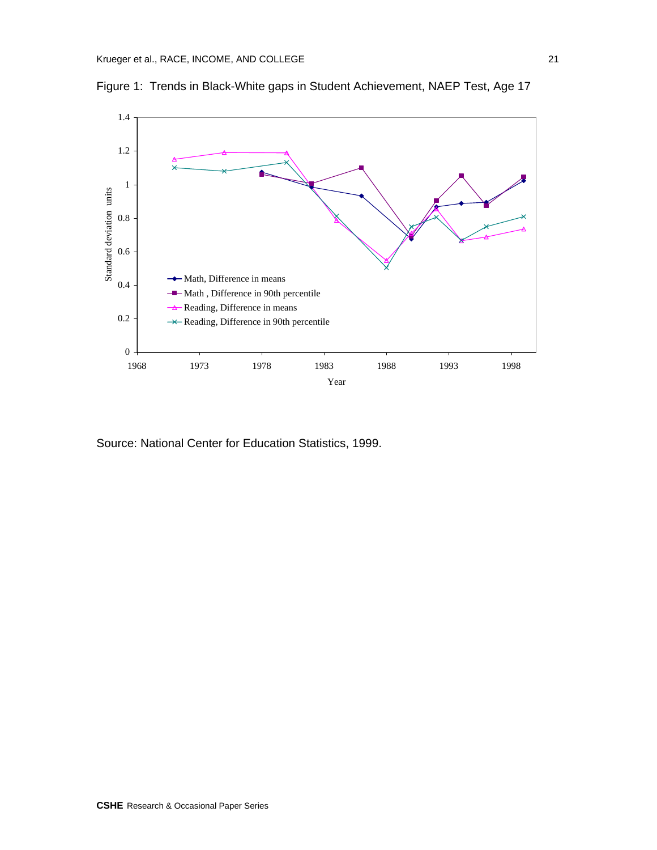

Figure 1: Trends in Black-White gaps in Student Achievement, NAEP Test, Age 17

Source: National Center for Education Statistics, 1999.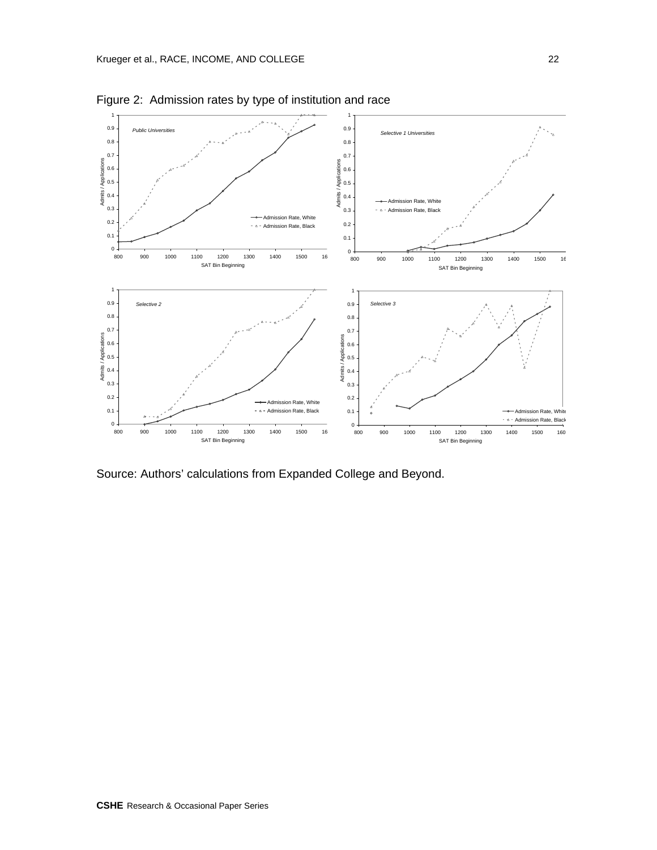

Figure 2: Admission rates by type of institution and race

Source: Authors' calculations from Expanded College and Beyond.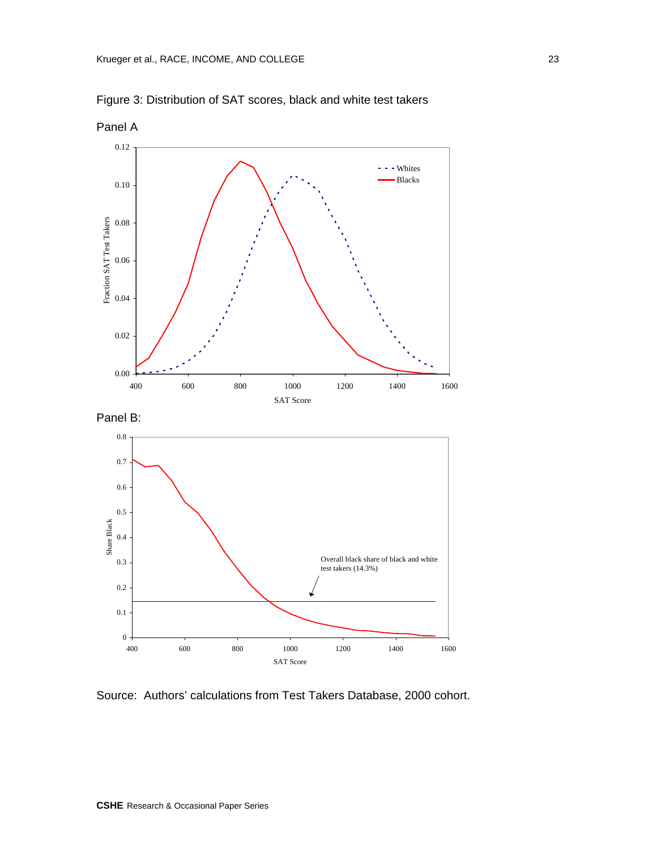

Figure 3: Distribution of SAT scores, black and white test takers



Source: Authors' calculations from Test Takers Database, 2000 cohort.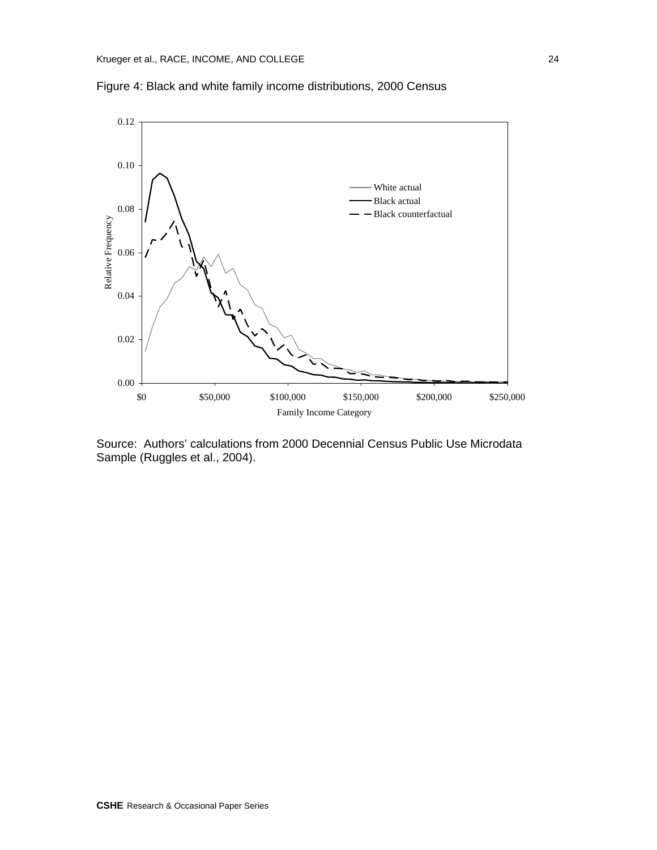

Figure 4: Black and white family income distributions, 2000 Census

Source: Authors' calculations from 2000 Decennial Census Public Use Microdata Sample (Ruggles et al., 2004).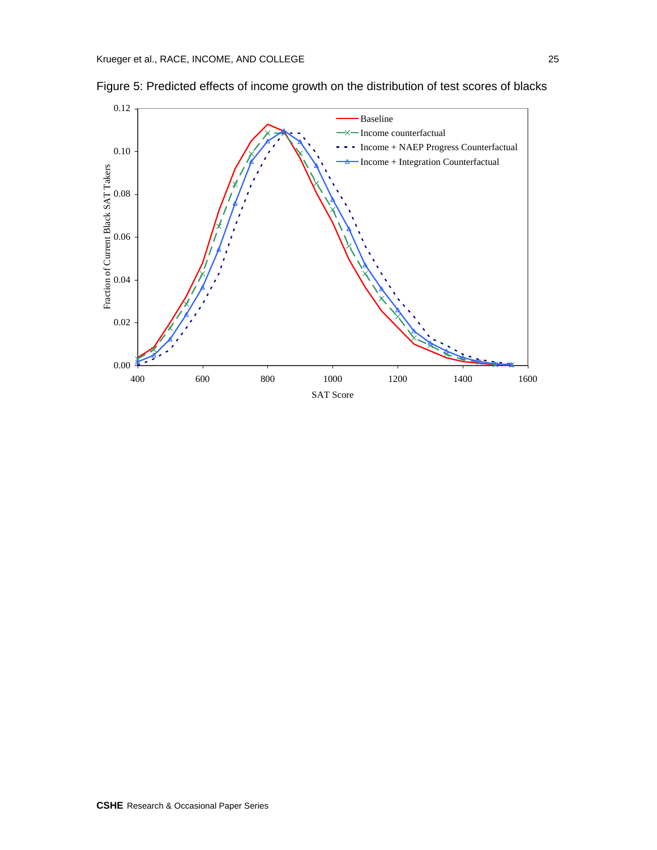

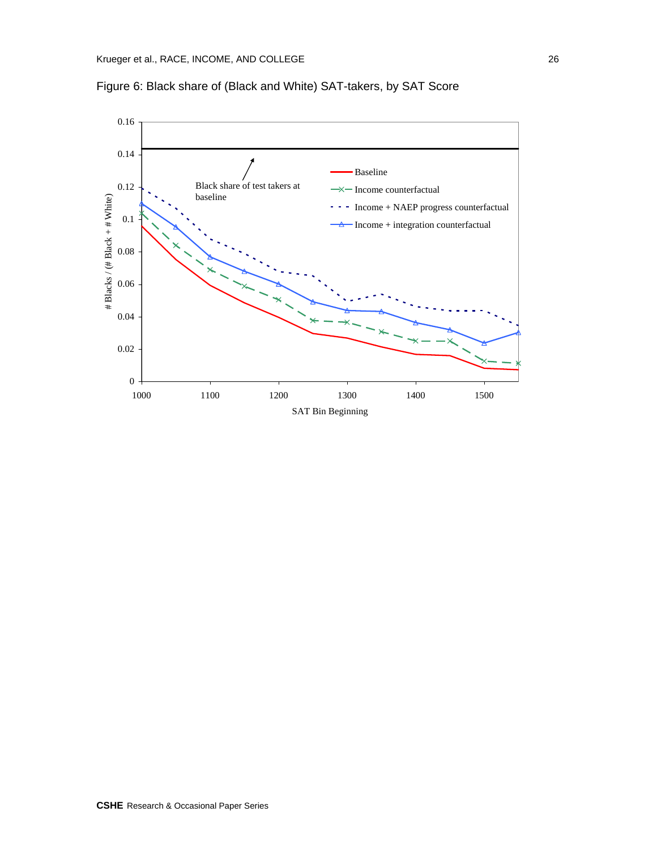

Figure 6: Black share of (Black and White) SAT-takers, by SAT Score